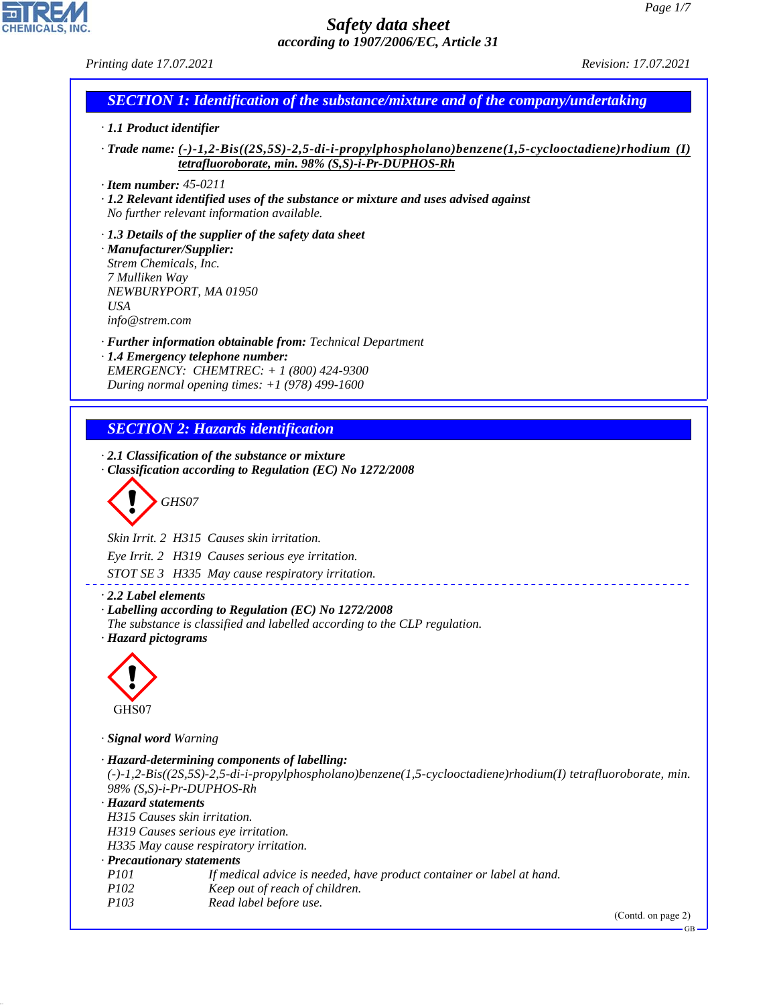GB

# *Safety data sheet according to 1907/2006/EC, Article 31*

*Printing date 17.07.2021 Revision: 17.07.2021*

# *SECTION 1: Identification of the substance/mixture and of the company/undertaking*

#### *· 1.1 Product identifier*

*· Trade name: (-)-1,2-Bis((2S,5S)-2,5-di-i-propylphospholano)benzene(1,5-cyclooctadiene)rhodium (I) tetrafluoroborate, min. 98% (S,S)-i-Pr-DUPHOS-Rh*

*· Item number: 45-0211*

*· 1.2 Relevant identified uses of the substance or mixture and uses advised against No further relevant information available.*

*· 1.3 Details of the supplier of the safety data sheet · Manufacturer/Supplier: Strem Chemicals, Inc. 7 Mulliken Way NEWBURYPORT, MA 01950 USA info@strem.com*

*· Further information obtainable from: Technical Department · 1.4 Emergency telephone number: EMERGENCY: CHEMTREC: + 1 (800) 424-9300*

*During normal opening times: +1 (978) 499-1600*

# *SECTION 2: Hazards identification*

*· 2.1 Classification of the substance or mixture · Classification according to Regulation (EC) No 1272/2008*

d~*GHS07*

*Skin Irrit. 2 H315 Causes skin irritation.*

*Eye Irrit. 2 H319 Causes serious eye irritation.*

*STOT SE 3 H335 May cause respiratory irritation.*

*· 2.2 Label elements*

*· Labelling according to Regulation (EC) No 1272/2008 The substance is classified and labelled according to the CLP regulation.*

*· Hazard pictograms*



44.1.1

*· Signal word Warning*

| · Hazard-determining components of labelling:                                                                   |
|-----------------------------------------------------------------------------------------------------------------|
| $(-)-1,2-Bis((2S,5S)-2,5-di-i-propylphospholano)benzene(1,5-cyclooctadiene)rhoidium(I) tetrafluoroborate, min.$ |
| $98\%$ (S, S)-i-Pr-DUPHOS-Rh                                                                                    |
| · Hazard statements                                                                                             |
| H315 Causes skin irritation.                                                                                    |
| H319 Causes serious eye irritation.                                                                             |
| H335 May cause respiratory irritation.                                                                          |
| · Precautionary statements                                                                                      |
| If medical advice is needed, have product container or label at hand.<br><i>P<sub>101</sub></i>                 |
| Keep out of reach of children.<br><i>P102</i>                                                                   |
| Read label before use.<br><i>P103</i>                                                                           |
| (Cond. on page 2)                                                                                               |

<u> - - - - - - - - - - - - -</u>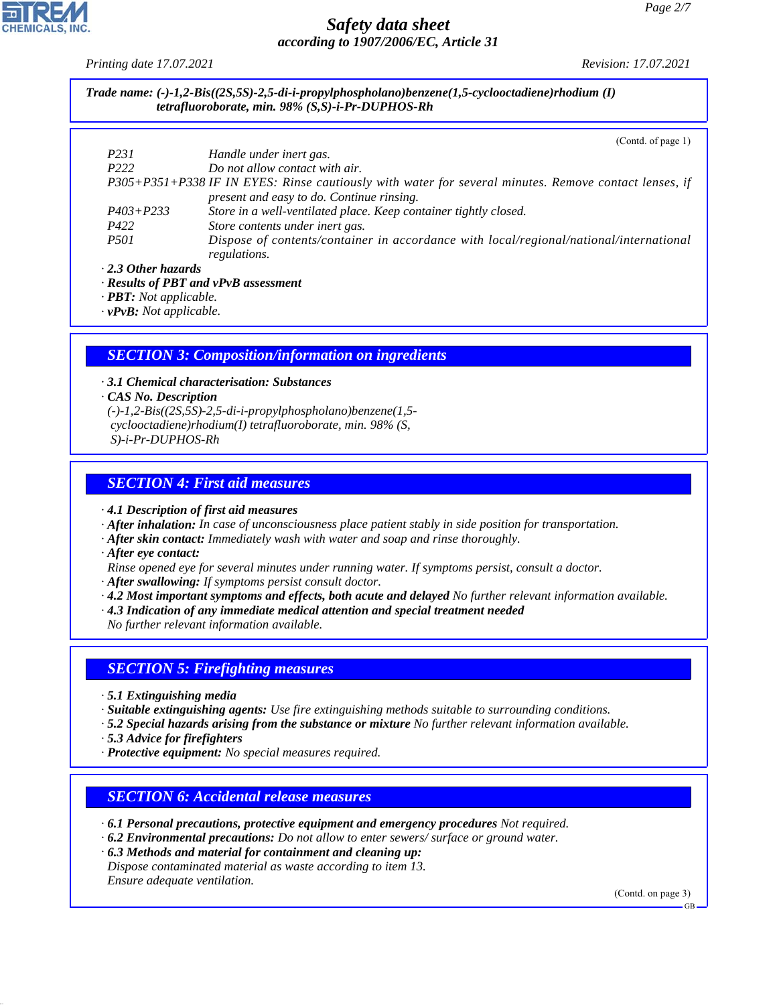*Printing date 17.07.2021 Revision: 17.07.2021*

*Trade name: (-)-1,2-Bis((2S,5S)-2,5-di-i-propylphospholano)benzene(1,5-cyclooctadiene)rhodium (I) tetrafluoroborate, min. 98% (S,S)-i-Pr-DUPHOS-Rh*

|                                            | (Cond. of page 1)                                                                                                                                  |  |  |
|--------------------------------------------|----------------------------------------------------------------------------------------------------------------------------------------------------|--|--|
| P <sub>231</sub>                           | Handle under inert gas.                                                                                                                            |  |  |
| P <sub>222</sub>                           | Do not allow contact with air.                                                                                                                     |  |  |
|                                            | P305+P351+P338 IF IN EYES: Rinse cautiously with water for several minutes. Remove contact lenses, if<br>present and easy to do. Continue rinsing. |  |  |
| $P403 + P233$                              | Store in a well-ventilated place. Keep container tightly closed.                                                                                   |  |  |
| P422                                       | Store contents under inert gas.                                                                                                                    |  |  |
| <i>P501</i>                                | Dispose of contents/container in accordance with local/regional/national/international<br>regulations.                                             |  |  |
| $\cdot$ 2.3 Other hazards                  |                                                                                                                                                    |  |  |
| $\cdot$ Results of PBT and vPvB assessment |                                                                                                                                                    |  |  |

*· PBT: Not applicable.*

*· vPvB: Not applicable.*

# *SECTION 3: Composition/information on ingredients*

*· 3.1 Chemical characterisation: Substances · CAS No. Description (-)-1,2-Bis((2S,5S)-2,5-di-i-propylphospholano)benzene(1,5 cyclooctadiene)rhodium(I) tetrafluoroborate, min. 98% (S, S)-i-Pr-DUPHOS-Rh*

## *SECTION 4: First aid measures*

*· 4.1 Description of first aid measures*

- *· After inhalation: In case of unconsciousness place patient stably in side position for transportation.*
- *· After skin contact: Immediately wash with water and soap and rinse thoroughly.*
- *· After eye contact:*

*Rinse opened eye for several minutes under running water. If symptoms persist, consult a doctor.*

*· After swallowing: If symptoms persist consult doctor.*

- *· 4.2 Most important symptoms and effects, both acute and delayed No further relevant information available.*
- *· 4.3 Indication of any immediate medical attention and special treatment needed*

*No further relevant information available.*

### *SECTION 5: Firefighting measures*

- *· 5.1 Extinguishing media*
- *· Suitable extinguishing agents: Use fire extinguishing methods suitable to surrounding conditions.*
- *· 5.2 Special hazards arising from the substance or mixture No further relevant information available.*
- *· 5.3 Advice for firefighters*

44.1.1

*· Protective equipment: No special measures required.*

### *SECTION 6: Accidental release measures*

- *· 6.1 Personal precautions, protective equipment and emergency procedures Not required.*
- *· 6.2 Environmental precautions: Do not allow to enter sewers/ surface or ground water.*
- *· 6.3 Methods and material for containment and cleaning up:*
- *Dispose contaminated material as waste according to item 13. Ensure adequate ventilation.*

(Contd. on page 3)

GB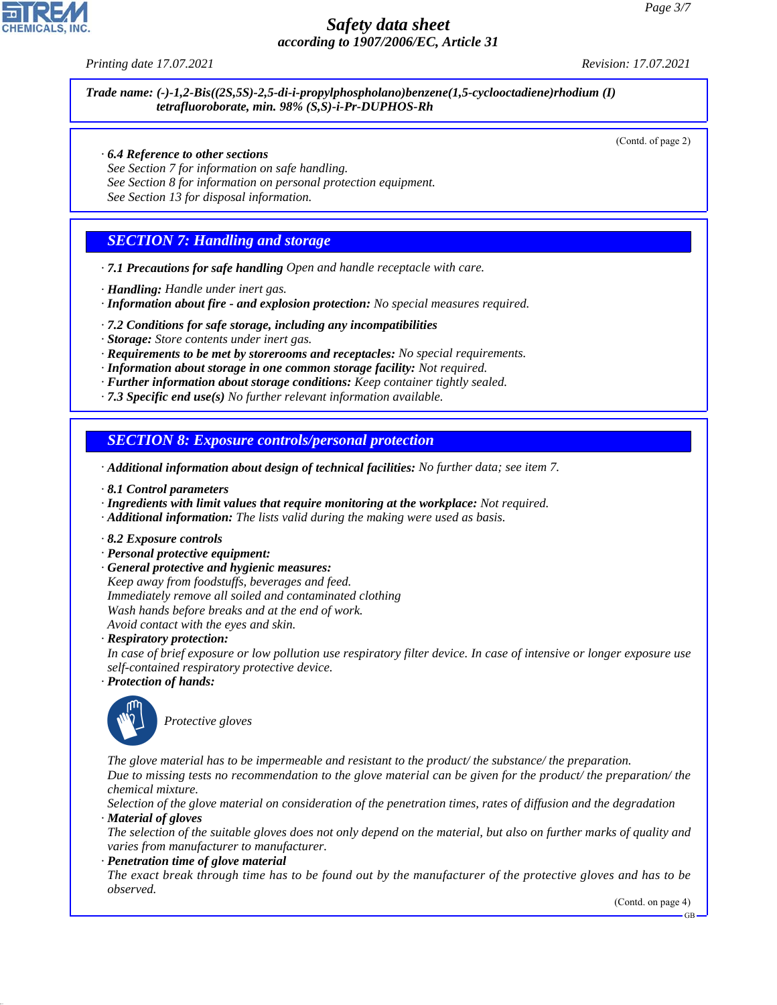

*Trade name: (-)-1,2-Bis((2S,5S)-2,5-di-i-propylphospholano)benzene(1,5-cyclooctadiene)rhodium (I) tetrafluoroborate, min. 98% (S,S)-i-Pr-DUPHOS-Rh*

(Contd. of page 2)

- *· 6.4 Reference to other sections*
- *See Section 7 for information on safe handling.*
- *See Section 8 for information on personal protection equipment.*
- *See Section 13 for disposal information.*

### *SECTION 7: Handling and storage*

- *· 7.1 Precautions for safe handling Open and handle receptacle with care.*
- *· Handling: Handle under inert gas.*
- *· Information about fire and explosion protection: No special measures required.*
- *· 7.2 Conditions for safe storage, including any incompatibilities*
- *· Storage: Store contents under inert gas.*
- *· Requirements to be met by storerooms and receptacles: No special requirements.*
- *· Information about storage in one common storage facility: Not required.*
- *· Further information about storage conditions: Keep container tightly sealed.*
- *· 7.3 Specific end use(s) No further relevant information available.*

#### *SECTION 8: Exposure controls/personal protection*

- *· Additional information about design of technical facilities: No further data; see item 7.*
- *· 8.1 Control parameters*
- *· Ingredients with limit values that require monitoring at the workplace: Not required.*
- *· Additional information: The lists valid during the making were used as basis.*
- *· 8.2 Exposure controls*
- *· Personal protective equipment:*
- *· General protective and hygienic measures:*
- *Keep away from foodstuffs, beverages and feed. Immediately remove all soiled and contaminated clothing Wash hands before breaks and at the end of work. Avoid contact with the eyes and skin.*

*· Respiratory protection:*

*In case of brief exposure or low pollution use respiratory filter device. In case of intensive or longer exposure use self-contained respiratory protective device.*

*· Protection of hands:*



44.1.1

\_S*Protective gloves*

*The glove material has to be impermeable and resistant to the product/ the substance/ the preparation.*

*Due to missing tests no recommendation to the glove material can be given for the product/ the preparation/ the chemical mixture.*

*Selection of the glove material on consideration of the penetration times, rates of diffusion and the degradation · Material of gloves*

*The selection of the suitable gloves does not only depend on the material, but also on further marks of quality and varies from manufacturer to manufacturer.*

*· Penetration time of glove material*

*The exact break through time has to be found out by the manufacturer of the protective gloves and has to be observed.*

(Contd. on page 4)

GB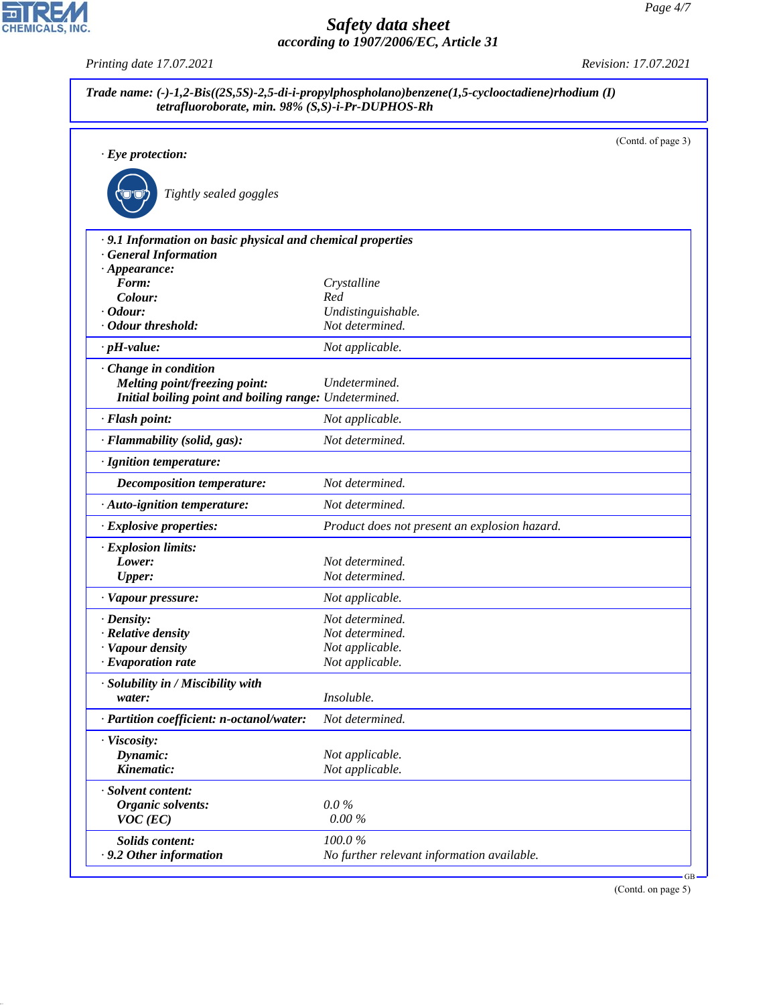| tetrafluoroborate, min. 98% (S,S)-i-Pr-DUPHOS-Rh            |                                               |                    |
|-------------------------------------------------------------|-----------------------------------------------|--------------------|
| $\cdot$ Eye protection:                                     |                                               | (Contd. of page 3) |
|                                                             |                                               |                    |
|                                                             |                                               |                    |
| Tightly sealed goggles                                      |                                               |                    |
|                                                             |                                               |                    |
| · 9.1 Information on basic physical and chemical properties |                                               |                    |
| · General Information                                       |                                               |                    |
| $\cdot$ Appearance:                                         |                                               |                    |
| Form:                                                       | Crystalline                                   |                    |
| Colour:                                                     | Red                                           |                    |
| $\cdot$ Odour:                                              | Undistinguishable.                            |                    |
| · Odour threshold:                                          | Not determined.                               |                    |
| $\cdot$ pH-value:                                           | Not applicable.                               |                    |
| · Change in condition                                       |                                               |                    |
| <b>Melting point/freezing point:</b>                        | Undetermined.                                 |                    |
| Initial boiling point and boiling range: Undetermined.      |                                               |                    |
| · Flash point:                                              | Not applicable.                               |                    |
| · Flammability (solid, gas):                                | Not determined.                               |                    |
| · Ignition temperature:                                     |                                               |                    |
| Decomposition temperature:                                  | Not determined.                               |                    |
| · Auto-ignition temperature:                                | Not determined.                               |                    |
| · Explosive properties:                                     | Product does not present an explosion hazard. |                    |
| · Explosion limits:                                         |                                               |                    |
| Lower:                                                      | Not determined.                               |                    |
| <b>Upper:</b>                                               | Not determined.                               |                    |
| · Vapour pressure:                                          | Not applicable.                               |                    |
| $\cdot$ Density:                                            | Not determined.                               |                    |
| · Relative density                                          | Not determined.                               |                    |
| Vapour density                                              | Not applicable.                               |                    |
| $\cdot$ Evaporation rate                                    | Not applicable.                               |                    |
| · Solubility in / Miscibility with                          |                                               |                    |
| water:                                                      | Insoluble.                                    |                    |
| · Partition coefficient: n-octanol/water:                   | Not determined.                               |                    |
| · Viscosity:                                                |                                               |                    |
| Dynamic:                                                    | Not applicable.                               |                    |
| Kinematic:                                                  | Not applicable.                               |                    |
| · Solvent content:                                          |                                               |                    |
| Organic solvents:                                           | $0.0\%$                                       |                    |
| $VOC$ (EC)                                                  | 0.00%                                         |                    |
| Solids content:                                             | 100.0%                                        |                    |
| .9.2 Other information                                      | No further relevant information available.    |                    |

(Contd. on page 5)



44.1.1

*Printing date 17.07.2021 Revision: 17.07.2021*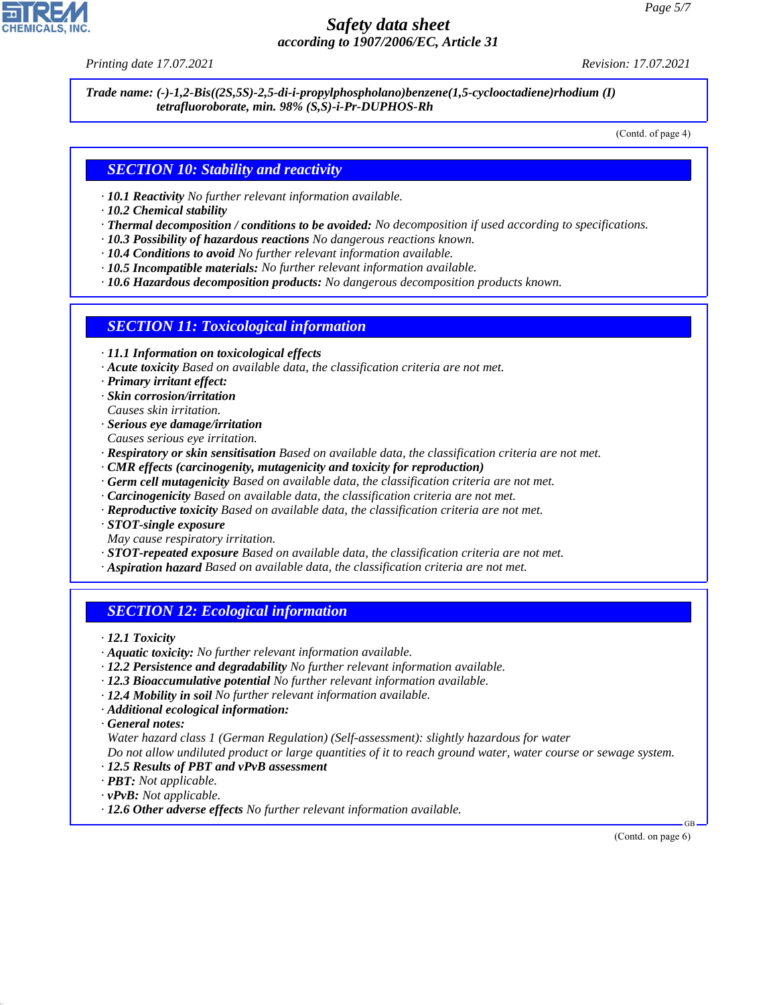*Printing date 17.07.2021 Revision: 17.07.2021*

*Trade name: (-)-1,2-Bis((2S,5S)-2,5-di-i-propylphospholano)benzene(1,5-cyclooctadiene)rhodium (I) tetrafluoroborate, min. 98% (S,S)-i-Pr-DUPHOS-Rh*

(Contd. of page 4)

#### *SECTION 10: Stability and reactivity*

- *· 10.1 Reactivity No further relevant information available.*
- *· 10.2 Chemical stability*
- *· Thermal decomposition / conditions to be avoided: No decomposition if used according to specifications.*
- *· 10.3 Possibility of hazardous reactions No dangerous reactions known.*
- *· 10.4 Conditions to avoid No further relevant information available.*
- *· 10.5 Incompatible materials: No further relevant information available.*
- *· 10.6 Hazardous decomposition products: No dangerous decomposition products known.*

#### *SECTION 11: Toxicological information*

- *· 11.1 Information on toxicological effects*
- *· Acute toxicity Based on available data, the classification criteria are not met.*
- *· Primary irritant effect:*
- *· Skin corrosion/irritation*
- *Causes skin irritation.*
- *· Serious eye damage/irritation*
- *Causes serious eye irritation.*
- *· Respiratory or skin sensitisation Based on available data, the classification criteria are not met.*
- *· CMR effects (carcinogenity, mutagenicity and toxicity for reproduction)*
- *· Germ cell mutagenicity Based on available data, the classification criteria are not met.*
- *· Carcinogenicity Based on available data, the classification criteria are not met.*
- *· Reproductive toxicity Based on available data, the classification criteria are not met.*
- *· STOT-single exposure*
- *May cause respiratory irritation.*
- *· STOT-repeated exposure Based on available data, the classification criteria are not met.*
- *· Aspiration hazard Based on available data, the classification criteria are not met.*

### *SECTION 12: Ecological information*

*· 12.1 Toxicity*

- *· Aquatic toxicity: No further relevant information available.*
- *· 12.2 Persistence and degradability No further relevant information available.*
- *· 12.3 Bioaccumulative potential No further relevant information available.*
- *· 12.4 Mobility in soil No further relevant information available.*
- *· Additional ecological information:*

*· General notes:*

44.1.1

*Water hazard class 1 (German Regulation) (Self-assessment): slightly hazardous for water*

*Do not allow undiluted product or large quantities of it to reach ground water, water course or sewage system.*

- *· 12.5 Results of PBT and vPvB assessment*
- *· PBT: Not applicable.*
- *· vPvB: Not applicable.*
- *· 12.6 Other adverse effects No further relevant information available.*

(Contd. on page 6)

GB

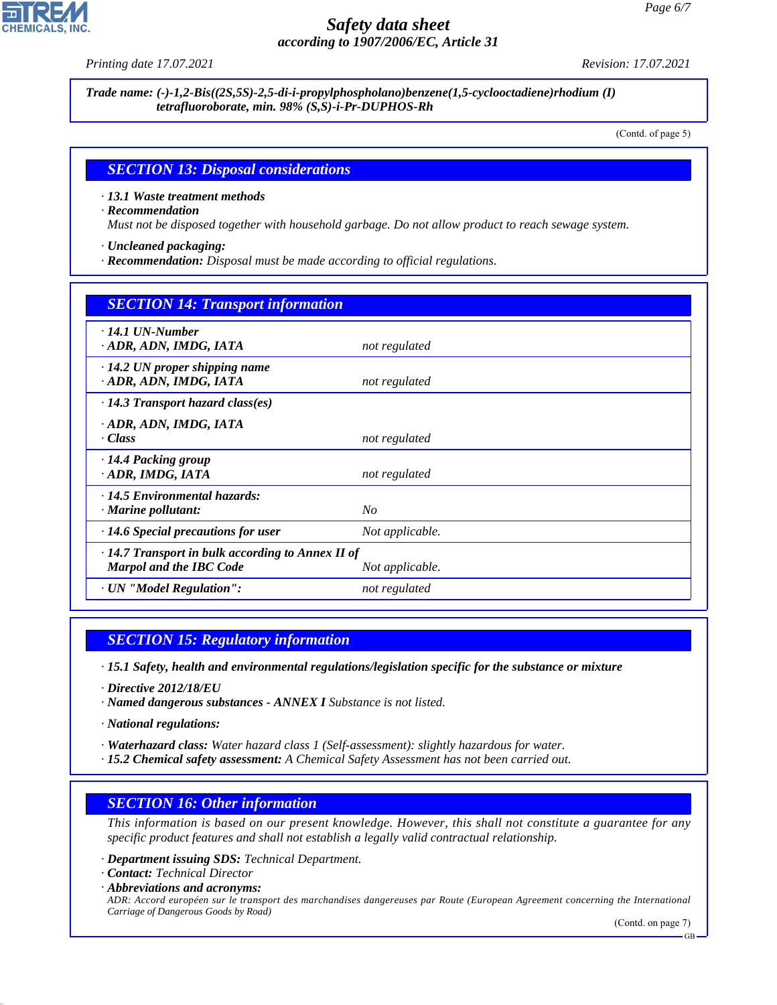*Printing date 17.07.2021 Revision: 17.07.2021*

*Trade name: (-)-1,2-Bis((2S,5S)-2,5-di-i-propylphospholano)benzene(1,5-cyclooctadiene)rhodium (I) tetrafluoroborate, min. 98% (S,S)-i-Pr-DUPHOS-Rh*

(Contd. of page 5)

#### *SECTION 13: Disposal considerations*

- *· 13.1 Waste treatment methods*
- *· Recommendation*

*Must not be disposed together with household garbage. Do not allow product to reach sewage system.*

- *· Uncleaned packaging:*
- *· Recommendation: Disposal must be made according to official regulations.*

| <b>SECTION 14: Transport information</b>                                                                     |                 |  |
|--------------------------------------------------------------------------------------------------------------|-----------------|--|
| $\cdot$ 14.1 UN-Number<br>· ADR, ADN, IMDG, IATA                                                             | not regulated   |  |
| $\cdot$ 14.2 UN proper shipping name<br>· ADR, ADN, IMDG, IATA                                               | not regulated   |  |
| $\cdot$ 14.3 Transport hazard class(es)                                                                      |                 |  |
| · ADR, ADN, IMDG, IATA<br>· Class                                                                            | not regulated   |  |
| $\cdot$ 14.4 Packing group<br>· ADR, IMDG, IATA                                                              | not regulated   |  |
| · 14.5 Environmental hazards:<br>· Marine pollutant:                                                         | $N_{O}$         |  |
| $\cdot$ 14.6 Special precautions for user                                                                    | Not applicable. |  |
| $\cdot$ 14.7 Transport in bulk according to Annex II of<br><b>Marpol and the IBC Code</b><br>Not applicable. |                 |  |
| · UN "Model Regulation":                                                                                     | not regulated   |  |

### *SECTION 15: Regulatory information*

- *· 15.1 Safety, health and environmental regulations/legislation specific for the substance or mixture*
- *· Directive 2012/18/EU*
- *· Named dangerous substances ANNEX I Substance is not listed.*
- *· National regulations:*
- *· Waterhazard class: Water hazard class 1 (Self-assessment): slightly hazardous for water.*
- *· 15.2 Chemical safety assessment: A Chemical Safety Assessment has not been carried out.*

# *SECTION 16: Other information*

*This information is based on our present knowledge. However, this shall not constitute a guarantee for any specific product features and shall not establish a legally valid contractual relationship.*

- *· Department issuing SDS: Technical Department.*
- *· Contact: Technical Director*

44.1.1

*· Abbreviations and acronyms: ADR: Accord européen sur le transport des marchandises dangereuses par Route (European Agreement concerning the International Carriage of Dangerous Goods by Road)*

(Contd. on page 7)

GB